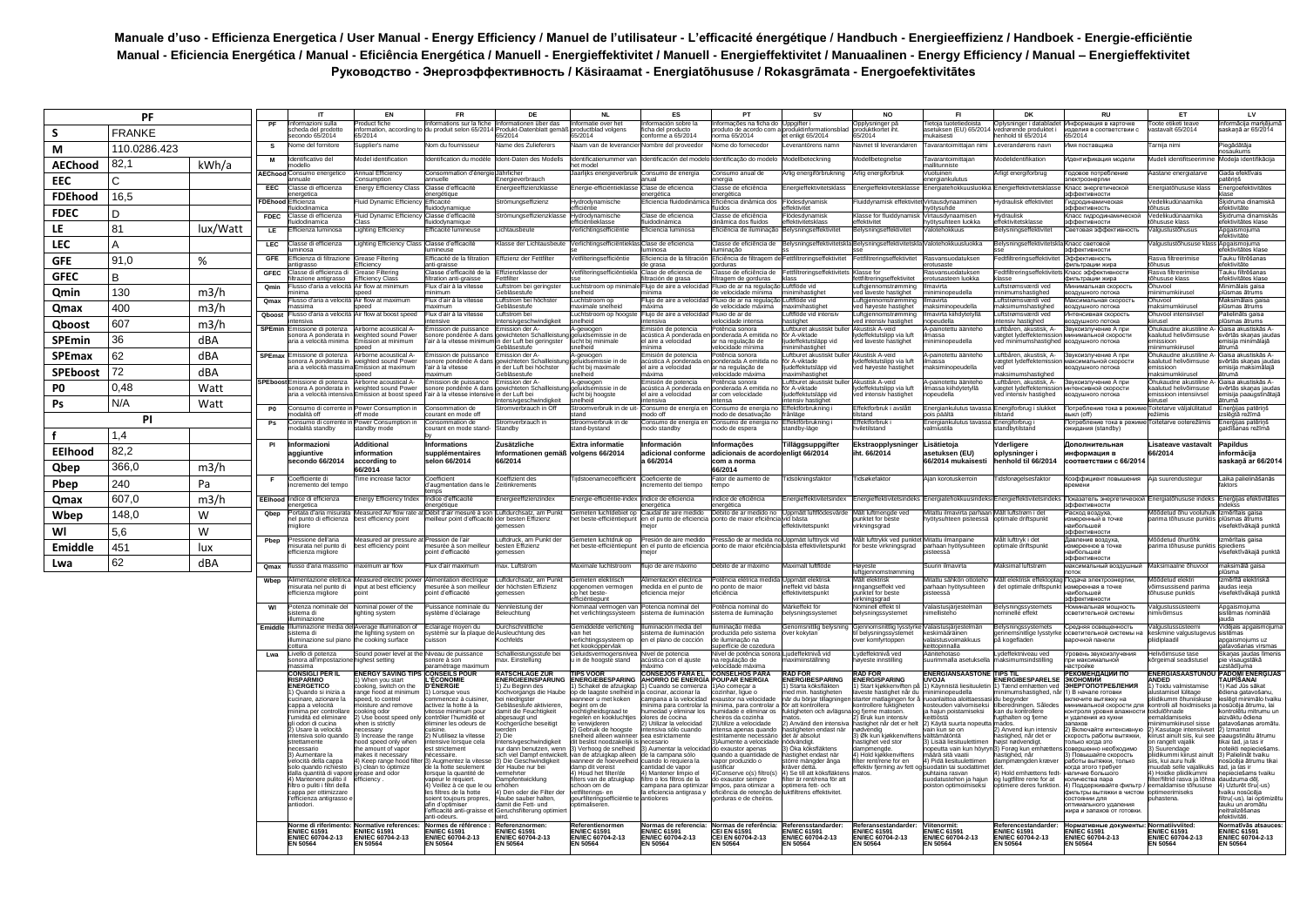## **Manuale d'uso - Efficienza Energetica / User Manual - Energy Efficiency / Manuel de l'utilisateur - L'efficacité énergétique / Handbuch - Energieeffizienz / Handboek - Energie-efficiëntie**  Manual - Eficiencia Energética / Manual - Eficiência Energética / Manuell - Energieffektivitet / Manuell - Energieffektivitet / Manuaalinen - Energy Efficiency / Manual – Energieffektivitet **Руководство - Энергоэффективность / Käsiraamat - Energiatõhususe / Rokasgrāmata - Energoefektivitātes**

| <b>PF</b>       |               |          |                          | IT                                                                           | EN                                                          | <b>FR</b>                                                          | DE                                                               | <b>NL</b>                                                                                                           | ES                                                                    | PT                                                                          | <b>SV</b>                                                                    | <b>NO</b>                                                          | FI.                                                                    | DK                                                                     | <b>RU</b>                                                                          | ET                                                                   | LV                                                               |
|-----------------|---------------|----------|--------------------------|------------------------------------------------------------------------------|-------------------------------------------------------------|--------------------------------------------------------------------|------------------------------------------------------------------|---------------------------------------------------------------------------------------------------------------------|-----------------------------------------------------------------------|-----------------------------------------------------------------------------|------------------------------------------------------------------------------|--------------------------------------------------------------------|------------------------------------------------------------------------|------------------------------------------------------------------------|------------------------------------------------------------------------------------|----------------------------------------------------------------------|------------------------------------------------------------------|
| s               | <b>FRANKE</b> |          |                          | ormazioni sulla<br>heda del prodotto<br>condo 65/2014                        | oduct fiche<br>ormation, according<br>5/2014                | ormations sur la fiche<br>produit selon 65/201                     | formationen über das<br>odukt-Datenblatt gemä<br>5/2014          | ormatie over het<br>oductblad volgens<br>5/2014                                                                     | ormación sobre la<br>ha del producto<br>onforme a 65/2014             | ormacões na ficha do<br>oduto de acordo con<br>ma 65/2014                   | duktinformation<br>t enligt 65/2014                                          | pplysninger på<br>oduktkortet iht<br>5/2014                        | etoja tuotetied<br>stuksen (EU) 65/201<br>ukaisesti                    | lysninger i datablade<br>ørende produktet<br>enhold til 65/2014        | нформация в карточке<br>делия в соответствии с<br>5/2014                           | oote etiketi tear<br>stavalt 65/2014                                 | lormācija markēju<br>skaņā ar 65/2014                            |
| M               | 110.0286.423  |          | s                        | ome del fornitore                                                            | upplier's name                                              | om du fournisseur                                                  | ame des Zulieferers                                              | aam van de leveranci                                                                                                | mbre del proveedo                                                     | ome do fornecedor                                                           | verantörens namn                                                             | avnet til leverandører                                             | avarantoimittajan nim                                                  | werandørens navr                                                       | ия поставщика                                                                      | arnija nimi                                                          | egādātāja<br>säukums                                             |
| <b>AEChood</b>  | 82,1          | kWh/a    |                          | entificativo de                                                              | odel identificatio                                          | ntification du mod                                                 | ent-Daten des Mode                                               | ntificatienumme<br>t model                                                                                          |                                                                       | ntificação do mode                                                          | ellbeteckning                                                                | dellbetegnels                                                      | avarantoimittaja<br><b>Illitunniste</b>                                | delidentifikatio                                                       | нтификация модел                                                                   | deli identifitseerim                                                 | odeļa identifikācija                                             |
| <b>EEC</b>      | C             |          | <b>AEChood</b>           | Consumo energetica<br>uale                                                   | Annual Efficiency<br>onsumption                             | consommation d'énergie<br>ماامرر                                   | <b>Jährlicher</b><br>ergieverbrauch                              | aarlijks energieverbruik                                                                                            | Consumo de eneraía                                                    | consumo anual de<br>rgia                                                    | lia eneraiförbruknina                                                        | rlia eneraiforbruk                                                 | uotuinen<br>ergiankulutus                                              | rligt energiforbrug                                                    | одовое потреблени<br>ктроэнерги                                                    | astane energiatarve                                                  | Gada efektīvais<br>tērinš                                        |
| <b>FDEhood</b>  | 16,5          |          | EEC                      | lasse di efficienza<br>metica                                                | nergy Efficiency Clas                                       | lasse d'efficacit<br>aining                                        | hergieeffizienzklass                                             | ergie-efficiëntiek                                                                                                  | lase de eficiencia<br>roética                                         | lasse de eficiência<br>ergética                                             | ergieffektivitetskla                                                         | ergieffektivitetskl                                                | ergiatehokkuus                                                         | hergieffektivitets                                                     | пасс энергетическо<br>ффективности                                                 | ergiatõhususe klas                                                   | hergoefektivitätes                                               |
|                 |               |          | <b>FDEho</b>             | fficienza<br>uidodinamica                                                    | uid Dynamic Efficie                                         | ficacité<br>dodvnamigue                                            | römungseffizienz                                                 | lydrodynamisch<br>fficiëntie                                                                                        | ficiencia fluidodin                                                   | ficiência dinâmica do<br>dos                                                | ödesdynamisk<br>fektivitet                                                   | uiddynamisk effek                                                  | irtausdynaamin<br>ötysuhde                                             | vdraulisk effektivi                                                    | пролинамическа<br>Фективность                                                      | edelikudünaamika<br>usus                                             | sidruma dinamiskā<br>stivitäte                                   |
| <b>FDEC</b>     | D.            |          | <b>FDEC</b>              | lasse di efficienza<br>dodinamica                                            | luid Dvnamic Efficien                                       | lasse d'efficacité                                                 | römungseffizienzklass                                            | vdrodvnamische<br>iciëntieklasse                                                                                    | lase de eficiencia<br>idodinámica                                     | asse de eficiência<br>nâmica dos fluidos                                    | ödesdvnamisk<br>ektivitetsklas                                               | lasse for fluiddynami:<br>fektivitet                               | 'irtausdynaamisen<br>ötvsuhteen luokka                                 | /draulisk<br>fektivitetsklass                                          | пасс гидродинамической                                                             | edelikudünaamika<br><b>ususe klass</b>                               | kidruma dinamiskās<br>ektivitätes klase                          |
| LE              | 81            | lux/Watt | LE                       | ficienza luminosa                                                            | ighting Efficiency                                          | ficacité lumineus                                                  | chtausbeut                                                       | erlichtingsefficiënti                                                                                               | iciencia luminosa                                                     | iciência de iluminaçã                                                       | lysningseffektivite                                                          | elysningseffektivite                                               | otehokkuus                                                             | <b>alysningseffektiv</b>                                               | етовая эффективность                                                               | lgustustőhusu:                                                       | ogaismojuma<br>ktivitāte                                         |
| <b>LEC</b>      | А             |          | LEC                      | lasse di efficienza<br>hinosa                                                | ighting Efficiency Clas                                     | lasse d'efficacité                                                 | asse der Lichtausbeut                                            | erlichtingsefficiënt                                                                                                | lase de eficiencia<br>inosa                                           | asse de eficiência de<br>ıminacão                                           | ysningseffektiv                                                              | elysningseffektivi                                                 | alotehokkuusluokka                                                     | elysningseffekt                                                        | пасс световой<br>ффективности                                                      | gustustõhususe klas                                                  | naismojums<br>ektivitātes klase<br>auku filtrēšanas              |
| <b>GFF</b>      | 91,0          | %        | <b>GFE</b><br><b>GFE</b> | ficienza di filtrazione<br>arassa<br>asse di efficienza o                    | irease Filtering<br>ficiency<br>rease Filterin              | fficacité de la filtration<br>ti-graisse<br>lasse d'efficacité de  | fizienz der Fettfilte<br>fizienzklasse de                        | tfilterinasefficiëntie<br>etfilteringsefficiën                                                                      | ficiencia de la filtració<br>e grasa<br>lase de eficiencia            | iciência de filtragem c<br>rduras<br>asse de eficiência de                  | tfiltrerinaseffektivite<br>ttfiltreringseffektivit                           | ettfiltreringseffektivite<br>asse fo                               | asvansuodatuksen<br>otusaste<br>asvansuodatukse                        | edtfiltreringseffekt<br>edtfiltreringseffek                            | Эффективность<br>льтрации жира<br>асс эффективност                                 | asva filtreerimise<br><b>USUS</b><br>sva filtreerimis                | ektivitāte<br>auku filtrēšanas                                   |
| <b>GFEC</b>     | В             |          | Omir                     | trazione antigrasso<br>lusso d'aria a velocità.                              | fficiency Class<br>Air flow at minimum                      | Itration anti-graisse<br>Flux d'air à la vitesse                   | ttfilter<br>ıftstrom bei gerina                                  | uchtstroom op minin                                                                                                 | tración de grasa<br>Flujo de aire a velocid                           | tragem de gorduras<br>Fluxo de ar na regulaçã                               | uftflöde vid                                                                 | filtreringseffektivitet<br>iftgjennomstrømming                     | otusasteen luokka<br>navirta                                           | isse<br>uftstrømsværdi ved                                             | комж мицвотым<br>нимальная скорость                                                | iususe klass<br>huvool                                               | ektivitātes klase<br>inimālais gaisa                             |
| Qmin            | 130           | m3/h     | Omax                     | ıima<br>usso d'aria a velocità Air flow at maximum                           | ed                                                          | ıimum<br>lux d'air à la vitesse                                    | ebläsestufe<br>ftstrom bei höchste                               | elheid<br>uchtstroom op                                                                                             | luio de aire a velocid                                                | velocidade mínima<br>luxo de ar na regulaçã                                 | nimihastighe<br>uftflöde vid                                                 | I laveste hastighet                                                | iminopeudella<br>navirta                                               | inimumshastighed<br>uftstrømsværdi ved                                 | здушного потока<br>аксимальная скорость                                            | imumkiiruse<br>huvool                                                | ismas ātrums<br>aksimālais gaisa                                 |
| Qmax            | 400           | m3/h     | Qboos                    | ecima<br>usso d'aria a velocità                                              | Air flow at boost spee                                      | ivimum<br>lux d'air à la vitesse                                   | ebläsestufe<br><b>iftstrom</b> bei                               | aximale snelheir<br>uchtstroom op hoogs                                                                             | áxima<br>lujo de aire a velo                                          | velocidade máxima<br>uxo de ar de                                           | aximihastiohe<br>uftflöde vid intens                                         | uftgjennomstrømming<br>⊧d høyeste hastighet<br>ftgjennomstrømming  | iaksiminopeudella<br>navirta kiihdytetyllä                             | aksimumshastighed<br>uftstrømsværdi ved                                | злушного потока<br>генсивная скорость                                              | aksimumkiiruse<br>uvool intensiivse                                  | <b>Ismas Atrums</b><br>alielināts gaisa                          |
| <b>Qboost</b>   | 607           | m3/h     | SPEmin                   | nsiva<br>missione di potenza                                                 | rborne acoustical A                                         | nsive<br>nission de puissance                                      | 'ensivaeschwindiakei'<br>nission der A-                          | elheid<br>-gewogen<br>eluidsemissie in de                                                                           | nsiya<br>nisión de potencia                                           | ocidade intensa<br>tência sonora                                            | astighet<br>uftburet akustiskt bul                                           | d intensiv hastighet<br>kustisk A-veid                             | ppeudella<br>-painotettu ääniteh                                       | tensiv hastighed<br>uftbåren, akustisk, A-                             | здушного потока<br>звукоизлучение А при                                            | usel<br>hukaudne akustiline                                          | ismas ātrums<br>aisa akustiskās A                                |
| <b>SPEmin</b>   | 36            | dBA      |                          | nora A ponderata i<br>ia a velocità minima                                   | sighted sound Powe<br>iission at minimum<br>hoe             | onore pondérée A dar<br>air à la vitesse minim                     | ichteten Schallleist<br>der Luft bei geringste<br>ehläsestufe    | ucht bij minimale                                                                                                   | istica A ponderada<br>l aire a velocidad                              | nderada A emitida n<br>r na regulação de<br>locidade mínima                 | r A-viktade<br>deffektutsläpp vid<br>nimihastighet                           | deffektutslipp via luft<br>d laveste hastighet                     | iassa<br>iniminopeudella                                               | egtet lydeffektemissio<br>ed minimumshastigheo                         | имальной скорости<br>оздушного потока                                              | llutud helivõimsuse<br>iissioon<br><b>imumkiiruse</b>                | ērtās skaņas jaudas<br>nisiia minimäläiä<br>ruma                 |
| <b>SPEmax</b>   | 62            | dBA      | <b>SPEmax</b>            | missione di potenza<br>ynora A nonderata in                                  | rborne acoustical A<br>sighted sound Powe                   | ission de puissance<br>onore pondérée A da                         | nission der A<br>wichteten Schallleisti                          | ∙gewogen<br>eluidsemissie in de                                                                                     | nisión de potencia<br>tústica A nonderada.                            | tência sonora<br>onderada A emitida n                                       | tburet akustiskt b<br>r A-viktade                                            | ustisk A-veid<br>deffektutslinn via luft                           | painotettu ääniteh<br>nassa                                            | uftbåren, akustisk, A-<br>eatet Ivdeffektemissio                       | зукоизлучение А при<br>іксимальной скорости                                        | ukaudne akustiline<br>alutud helivõimsuse                            | aisa akustiskās A-<br>vērtās skanas iauda:                       |
| <b>SPEboost</b> | 72            | dBA      |                          | ia a velocità massi                                                          | sion at maximum<br>hoe                                      | air à la vitesse<br>vimum                                          | der Luft bei höchste<br>ebläsestufe                              | ucht bij maximale<br>higdle                                                                                         | aire a velocidad<br>áxima                                             | na regulação de<br>locidade máxima                                          | effektutsläpp vid<br>ximihastighet                                           | d høyeste hastighet                                                | aksiminopeudella                                                       | aksimumshastighed                                                      | здушного потока                                                                    | ssioon<br>ksimumkiiruse                                              | nisija maksimālajā<br>rumā                                       |
| P0              | 0,48          | Watt     |                          | missione di notenza<br>onora A ponderata in                                  | rhome acoustical A<br>sighted sound Power                   | ission de puissanc<br>onore pondérée A dan                         | nission der A<br>wichteten Schal                                 | -gewogen<br>eluidsemissie in de                                                                                     | nisión de notencia<br>cústica A ponderada                             | atência sonora<br>onderada A emitida n                                      | ftburet akustiskt bu<br>r A-viktade                                          | ustisk A-veid<br>deffektutslipp via luft                           | nainotettu ääniteh<br>nassa kiihdytetyllä                              | uftbåren, akustisk, A-<br>aegtet lydeffektemissi                       | икоизпучение А при<br>генсивной скорости                                           | ukaudne akustiline<br>alutud helivõimsuse                            | aisa akustiskās A-<br>ērtās skaņas jauda:                        |
| Ps              | N/A           | Watt     |                          | ia a velocità intens                                                         | ssion at boost spe                                          | air à la vitesse intens                                            | der Luft bei<br>ensivgeschwindigkeit                             | ucht bij hoogste                                                                                                    | aire a velocidad<br>ensiva                                            | com velocidade<br>nsa                                                       | leffektutslänn vid<br>nsiv hastighet                                         | d intensiv hastighet                                               | sllebuen                                                               | d intensiv hastighed                                                   | здушного потока                                                                    | issioon intensiivsel                                                 | nisija paaugstinātajā                                            |
|                 | <b>PI</b>     |          | P <sub>0</sub>           | consumo di corrente<br>odalità off<br>onsumo di corre                        | ower Consumption<br>ff mode<br>ower Consumption             | onsommation de<br>ourant en mode off<br>onsommation de             | 'omverbrauch in Of<br>romverbrauch i                             | roomverbruik in de<br>and<br>roomverbruik                                                                           | onsumo de eneraía<br>odo off<br>onsumo de energía                     | onsumo de energia n<br>odo de desativação<br>onsumo de energia r            | fektförbrukning<br>rånläge<br>fektförbrukning                                | fektforbruk i avslåt<br>stand<br>ffektforbruk                      | hergiankulutus tav<br>is päältä<br>nergiankulutus t                    | :nergiforbrug i slukket<br>stand<br>nergiforbrug                       | отребление тока в режи<br>$\overline{c}$ n $\overline{c}$<br>отребление тока в ре: | pitetarve välialülitatu<br>itetarve ooterežiir                       | nerģijas patērins<br>slēgtā režīmā<br>nerģijas patēriņš          |
| f               | 1,4           |          |                          | odalità standby                                                              | tandby mode                                                 | burant en mode stand                                               | andby                                                            | tand-bystand                                                                                                        | odo standby                                                           | odo de espera                                                               | tandby-läge                                                                  | <i>r</i> iletilstand                                               | almiustila                                                             | andbytilstand                                                          | жидания (standby)                                                                  |                                                                      | iidīšanas režīmā                                                 |
| <b>EEIhood</b>  | 82,2          |          | P1                       | Informazioni<br>aggiuntive                                                   | <b>Additional</b><br>information                            | nformations<br>supplémentaires                                     | Zusätzliche<br>nformationen gemäß                                | Extra informatie<br>volgens 66/2014                                                                                 | nformación<br>dicional conforr                                        | nformações<br>dicionais de acord                                            | <b>Tilläggsuppgifter</b><br>enligt 66/2014                                   | Ekstraopplysninge<br>t. 66/2014                                    | _isätietoja<br>setuksen (EU)                                           | Yderligere<br>oplysninger                                              | Іополнительная<br>нформация в                                                      | isateave vastavalt.<br>6/2014                                        | Papildus<br>nformācija                                           |
| Qbep            | 366.0         | m3/h     |                          | econdo 66/2014                                                               | according to                                                | elon 66/2014                                                       | 66/2014                                                          |                                                                                                                     | a 66/2014                                                             | com a norma                                                                 |                                                                              |                                                                    | 6/2014 mukaisest                                                       | enhold til 66/2014                                                     | соответствии с 66/201                                                              |                                                                      | askaņā ar 66/2014                                                |
|                 | 240           |          |                          | cefficiente di                                                               | 6/2014<br>me increase factor                                | oefficient                                                         | oeffizient des                                                   | idstoenamecoëfficiënt                                                                                               | Coeficiente de                                                        | 6/2014<br>ator de aumento de                                                | dsökningsfaktor                                                              | dsøkefaktor                                                        | ian korotuskerroin                                                     | dsforøgelsesfaktor                                                     | Соэффициент повышения                                                              | ia suurendustegur                                                    | Laika palielināšanās                                             |
| Pbep            |               | Pa       |                          | remento del tempo                                                            |                                                             | augmentation dans l<br>dice d'efficacité                           | itinkrements                                                     |                                                                                                                     | remento del tiempo                                                    | hpc                                                                         |                                                                              |                                                                    |                                                                        |                                                                        |                                                                                    |                                                                      |                                                                  |
| <b>Qmax</b>     | 607,0         | m3/h     | EElhoo<br>Qbep           | ndice di efficienza<br>ortata d'aria misurata                                | ergy Efficiency Index<br>asured Air flow rate a             | raétique<br>Débit d'air mesuré à so                                | ergieeffizienzindex<br>iftdurchsatz, am Punk                     | ergie-efficientie-inde<br>emeten luchtdebiet op                                                                     | ndice de eficiencia<br>audal de aire medido                           | dice de eficiência<br>ergética<br>ébito de ar medido no                     | ergieffektivitetsinde<br>Jppmätt luftf                                       | ergieffektivitetsinde<br>ålt luftmengde ved                        | ergiatehokkuusinde<br>tattu ilmavirta parha                            | ergieffektivitets<br>ålt luftstrøm i de                                | оказатель энергетическо<br>офективности<br>асход воздуха                           | ergiatõhususe indek<br>õdetud õhu vooluhu                            | erģijas efektivitātes<br><b>KSS</b><br>mērītais gaisa            |
| Wbep            | 148.0         | W        |                          | și punto di efficienza<br>gliore                                             | st efficiency point                                         | eilleur point d'efficaci                                           | er besten Effizienz<br>eessen                                    | t beste-efficiëntiepur                                                                                              | n el punto de eficiend                                                | onto de maior eficiênc                                                      | rid hästa<br>ktivitetspunk                                                   | inktet for beste<br>kningsgrad                                     | ötysuhteen pisteessä                                                   | otimale driftspunk                                                     |                                                                                    | ima tõhususe punkti                                                  | iemae āfrume<br>efektīvākajā punktā                              |
| WI              | 5.6           | W        | Pbep                     | ressione dell'aria                                                           | leasured air pressure a                                     | ression de l'air                                                   | uftdruck, am Punkt der<br>esten Effizienz                        | iemeten luchtdruk op                                                                                                | Presión de aire medido<br>en el punto de eficiencia                   | ressão de ar medida no                                                      | Uppmätt lufttryck vid<br>båsta effektivitetspunk                             | lålt lufttrykk ved punkte                                          | Mitattu ilmanpaine                                                     | lâlt lufttryk i det                                                    | ффективности<br>вление воздуха,                                                    | lőődetud öhuröhk                                                     | mērītais gaisa                                                   |
| Emiddle         | 451           | lux      |                          | isurata nel punto di<br>icienza migliore                                     | est efficiency point                                        | nesurée à son meiller<br>bint d'efficacité                         | messen                                                           | et beste-efficiëntiepun                                                                                             |                                                                       | oonto de maior eficiênci                                                    |                                                                              | r beste virkningsgrad                                              | xarhaan hyötysuhteer<br>š2299t:                                        | ptimale driftspunk                                                     | меренное в точке<br>ибольшей<br>ффективности                                       | arima tõhususe punkti                                                | viediens<br>efektīvākajā punkta                                  |
| Lwa             | 62            | dBA      | Omax                     | sso d'aria massimo                                                           | aximum air flow                                             | ux d'air maximum                                                   | ax. Luftstrom                                                    | uximale luchtstroom                                                                                                 | uio de aire máximo                                                    | ébito de ar máximo                                                          | aximalt luftflöde                                                            | øveste<br>tgjennomstrømming                                        | uurin ilmavirta                                                        | aksimal luftstrøm                                                      | аксимальный воздушны                                                               | aksimaalne õhuvool                                                   | aksimālā gaisa                                                   |
|                 |               |          | Wben                     | mentazione elettric<br>isurata nel punto di                                  | asured electric pow<br>nnut at best efficiency              | nentation électriqu<br>esurée à son meilleu                        | iftdurchsatz, am Punk<br>er höchsten Effizienz                   | meten elektrisch<br>idenomen vermoger                                                                               | nentación eléctrica<br>edida en el punto de                           | ência elétrica medi<br>o ponto de maior                                     | ppmätt elektris<br>effekt vid hästa                                          | ålt elektrisk<br>ingangseffekt ved                                 | tattu sähkön ottotel<br>arhaan hvötvsuhteer                            | alt elektrisk effektopta<br>det optimale driftspun                     | одача электроэнергии<br><b>меренная в точке</b>                                    | õdetud elektr<br>msussisend narima                                   | nērītā elektriska<br>udas ieeia                                  |
|                 |               |          |                          | icienza migliore                                                             |                                                             | int d'efficacité                                                   | lessen                                                           | het beste-<br>iciëntienunt                                                                                          | iencia meior                                                          | ciência                                                                     | ivitetspunk                                                                  | inktet for beste<br>kningsgrad                                     | teessä                                                                 |                                                                        | ибольшей<br><b>h</b> фективности                                                   | ususe punktis                                                        | sefektīvākajā punktā                                             |
|                 |               |          | WI                       | otenza nominale de<br>stema di<br>minazione                                  | ominal power of the<br>phting system                        | uissance nominale d<br>stème d'éclairage                           | nleistuna de<br>leuchtung                                        | ominaal vermogen va<br>et verlichtingssysteem                                                                       | otencia nominal de<br>tema de iluminación                             | otência nominal do<br>tema de iluminação                                    | ärkeffekt för<br>alysningssysteme                                            | ominell effekt til<br>elysningssystemet                            | alaistusjärjestelmä<br>nellisteho                                      | alysningssysteme<br>ominelle effekt                                    | <b>МИНАПЬНАЯ МОШНОСТЬ</b><br>зветительной системы                                  | ılaustussüsteer<br>ivõimsus                                          | pgaismojuma<br>istēmas nominālā<br>ıda                           |
|                 |               |          | Emiddl                   | luminazione media<br>stema di                                                | verage illumination o<br>ie lighting system on              | clairage moyen du<br>stème sur la plaque                           | urchschnittliche<br>usleuchtung des                              | emiddelde verlichting<br>an het                                                                                     | iminación media del<br>stema de iluminación                           | minacão média<br>oduzida pelo sistem                                        | enomsnittlig belvsn<br>/er kokvtan                                           | jennomsnittlig lyssty<br>belysningssystemet                        | alaistusiäriestelmä<br>eskimääräinen                                   | elysningssystemet:<br>ınnemsnitlige lysstvrk                           | релняя освещенность<br>светительной системы на                                     | Inustussüsteemi<br>kmine valgustugev                                 | idējais apgaismojun<br>stēmas                                    |
|                 |               |          |                          | minazione sul pia<br>ttura                                                   | e cooking surface                                           | son                                                                | chfelds                                                          | inichtingssysteem op<br>et kookoppervlak                                                                            | el plano de cocción                                                   | i iluminacão na<br>perfície de cozedura                                     |                                                                              | er komfyrtoppen                                                    | laistusvoimakkuus<br>ittopinnalla                                      | s kogefladen                                                           | рочной панели                                                                      | diplaadil                                                            | gaismoiums uz<br>avošanas virsmas                                |
|                 |               |          | Lwa                      | Livello di potenza<br>xnora all'impostazio<br>issima                         | Sound power level at the<br>ghest setting                   | liveau de puissance<br>nore à son<br>ramétrage maximu              | challleistungsstufe bei<br>ax. Einstellung                       | ieluidsvermogensnive<br>n de hoogste stand                                                                          | ivel de potencia<br>ústica con el ajuste<br>áximo                     | ível de potência sonora<br>ı regulação de<br>ocidade máxima                 | iudeffektnivå vid<br>ıximiinställning                                        | vdeffektnivå ved<br>yeste innstilling                              | anitehotaso<br>urimmalla asetuksel                                     | vdeffektniveau ved<br>aksimumsindstilling                              | ровень звукоизлучения<br>и максимальной<br>стройке                                 | livõimsuse tase<br>geimal seadistusel                                | kanas iaudas līmenis<br>e visaúostākā<br>stādījuma               |
|                 |               |          |                          | :Onsigli Per Il<br><b>ISPARMIO</b>                                           | <b>NERGY SAVING TIP</b><br>When you star                    | <b>ONSEILS POUR</b><br><b>ECONOMIE</b>                             | <b>ATSCHLÄGE ZUR</b><br>ENERGIEEINSPARUNG                        | PS VOO<br>NERGIEBESPARING                                                                                           | <b>ONSEJOS PARA EL</b><br><b>HORRO DE ENERGÍA</b>                     | <b>ONSELHOS PARA</b><br><b>OUPAR ENERGIA</b>                                | AN FÖ<br>ENERGIBESPARING                                                     | <b>AD FOR</b><br>NERGISPARING                                      | <b>NERGIANSAASTOI</b><br><b>JVOJA</b>                                  | <b>NERGIBESPARELSE</b>                                                 | ЕКОМЕНЛАЦИИ ПО<br><b>KOHOM!</b>                                                    | NERGIASĂĂSTUNOU<br><b>NDED</b>                                       | <b>PADOMI ENERGIJAS</b><br>AUPĪŠANAI                             |
|                 |               |          |                          | <b>INERGETICO</b><br>Quando si inizia a                                      | oking, switch on the<br>ange hood at minimum                | <b>'ÉNERGIE</b><br>Lorsque vous                                    | 7u Beginn des<br>chvorgangs die Haub                             | Schakel de afzuiokar<br>de laagste snelheid                                                                         | Cuando se comienza<br>cocinar, accionar la                            | l) Ao comecar a<br>zinhar, ligue o                                          | Starta köksfläkten<br>.<br>ned min. hastigheten<br>าär du börjar tillagninge | Start kiøkkenviften n<br>este hastighet når d                      | Käynnistä liesituulet<br>himinopeudella                                | ) Tænd emhætten ved<br>mumshastighed, ná                               | ЭНЕРГОПОТРЕБЛЕНИЯ<br>В начале готовки                                              | Toidu valmistamise<br>tamisel lülitage                               | Kad Jūs sākat<br>,<br>diena gatavošanu,<br>slēgt minimālo tvaikı |
|                 |               |          |                          | icinare, azionare la<br>appa a velocità<br>inima per controllare             | eed, to control<br>bisture and remove<br>pokina odor        | nmencez à cuisiner<br>tivez la hotte à la<br>tesse minimum nour    | i niedriaster<br>ebläsestufe aktivieren<br>smit die Feuchtigkeit | anneer û met koken.<br>gint om de<br>ochtigheidsgraad te                                                            | ampana a la velocida<br>ima para controlar l<br>umedad v eliminar los | austor na velocidade<br>nima, para controlar<br>midade e eliminar os        | r att kontrollera<br>uktioheten och avlägs                                   | arter matlagingen for<br>ntrollere fuktigheten                     | uoanlaittoa aloittaes<br>steuden valvomiseksi<br>a haiun noistamiseksi | I beavnder<br>redningen. Sålede<br>an du kontrollere                   | лючите вытяжку на<br>имальной скорости дл<br><b>IFTDO THE RHACCIS</b>              | iidikumm õhuniiskus:<br>trolli all hoidmiseks<br>abendõlubic         | sūcēja ātrumu, lai<br>ıntrolêtu mitrumu un                       |
|                 |               |          |                          | umidità ed eliminare<br>i odori di cucina                                    | Use boost speed only<br>hen is strictly                     | ontrôler l'humidité et<br>iminer les odeurs de                     | gesaugt und<br>ochaerűche beseitia                               | jelen en kookluchtjes<br>verwijderen                                                                                | ores de cocina<br>Utilizar la velocidad                               | eiros da cozinha<br>Utilize a velocidade                                    | Använd den intensiv                                                          | g fjerne matosen.<br>I Bruk kun intensiv<br>astighet når det er he | ittiöetä<br>Käytä suurta nopeutta                                      | gthalten og fjerne<br>ados.                                            | даления из кухни<br>пахов                                                          | naldamiseks<br>nimumkiirusel sisse                                   | zvāktu ēdiena<br>itavošanas aromāti                              |
|                 |               |          |                          | Usare la velocità<br>tensiva solo quando<br>rettamente                       | cessary<br>Increase the range                               | N'utilisez la vitesse                                              | Die<br>ensivaeschwindiakeit                                      | Gebruik de hoogste<br>alheid alleen wannee<br>beslist noodzakelijk                                                  | nsiva sólo cuando<br>ea estrictamente<br>cesario                      | ensa apenas quando<br>stritamente necessário<br>Aumente a velocidade        | stigheten endast när<br>det är absolut.<br>idvändigt.                        | dvendig<br>Øk kun kiøkkenvifte                                     | ain kun se on<br>älttämätöntä<br>Lisää liesituulettim                  | Anvend kun intensiv<br>istighed, når det er<br>ist nødvendigt.         | Включайте интенсивнук<br>орость работы вытяжки                                     | Kasutage intensiivse<br>irust ainult siis. kui se                    | Izmantot<br>aauostinātu ātrumu                                   |
|                 |               |          |                          | ecessario<br>Aumentare Is                                                    | od speed only when<br>e amount of vapor<br>akes it necessar | ensive lorsque cela<br>st strictement<br>essaire.                  | ur dann benutzen. weni<br>h viel Dampf entwicke                  | Verhoog de snelheid                                                                                                 | Aumentar la velocid<br>a la campana sólo                              | do exaustor apenas<br>ando a quantidade d                                   | Öka köksfläktens<br>astighet endast när                                      | stighet ved stor<br>momenade.<br>Hold kjøkkenviftens               | ppeutta vain kun hövrv<br>äärä sitä vaatii                             | Forøg kun emhætt<br>stighed, når                                       | лько когда это<br>эвершенно необходимо<br>Повышайте скорость                       | rangelt vajalik<br>Suurendage<br>idikummi kiirust ainult             | kai tad, ja tas ir<br>teikti nepieciešam<br>Palielinät tvaiku    |
|                 |               |          |                          | ilocità della cappa<br>olo quando richiesto                                  | Keep range hood fil<br>clean to optimize                    | Augmentez la vites<br>e la hotte seulement                         | Die Geschwindigkeit<br>r Haube nur bei                           | ,<br>an de afzuigkap alleen<br>anneer de hoeveelheid<br>annoor as nooree<br>amp dit vereist<br>) Houd het filter/de | cuando lo requiera la<br>antidad de vapor                             | apor produzido o<br>stificar                                                | större mängder ånga<br>räver detta                                           | er rent/rene for en<br>fektiv fjerning av fett                     | Pidä liesituulettimer<br>iodatin tai suodattime                        | mpmængden kræver                                                       | аботы вытяжки, только<br>ида этого требует                                         | is. kui auru hulk<br>uudab selle vaialikuk:                          | osūcēja ātrumu tika<br>ad, ja tas ir                             |
|                 |               |          |                          | alla quantità di vapor<br>Mantenere pulito il<br>tro o puliti i filtri della | rease and odor<br>fficiency                                 | orsque la quantité de<br>peur le réquiert<br>Veillez à ce que le c | mehrter<br>mpfentwicklung<br>höhen                               | ers van de afzuigkap<br>choon om de                                                                                 | Mantener limpio e<br>ro o los filtros de la<br>ampana para optimiza   | Conserve o(s) filtro(s)<br>p exaustor sempre<br>mpos, para otimizar a       | ) Se till att köksfläkter<br>ter är rent/rena för att<br>potimera fett- och  | atos.                                                              | vuhtaina rasvan<br>uodatustehon ja hajur<br>piston optimoimiseksi      | Hold emhættens fed<br>Jugtfiltre rene for at<br>ptimere deres funktion | аличие большого<br>нчества пара<br>Поддерживайте фильтр                            | Hoidke pliidikummi<br>r/filtrid rasva ja lõhr<br>emaldamise tõhususe | pieciešams tvaiku<br>udzuma dēl.<br>Uzturēt tīru(-us)            |
|                 |               |          |                          | cappa per ottimizzare<br>'efficienza antigrasso                              |                                                             | s filtres de la hotte<br>ient toujours propre                      | Den oder die Filter de<br>aube sauber halten.                    | enoen om de<br>etfilterings- en<br>eurfilteringsefficiëntie te                                                      | a eficiencia antigrasa<br>antiolores                                  | ficiência de retenção de luktfiltrens effektivitet<br>orduras e de cheíros. |                                                                              |                                                                    |                                                                        |                                                                        | -<br>Фильтры вытяжки в чистом                                                      | otimeerimiseks<br>hastena.                                           | ,<br>/aiku nosūcēja<br>ltru(-us), lai optimizēt                  |
|                 |               |          |                          | tiodori.                                                                     |                                                             | in d'ontimiser<br>efficacité anti-oraisse<br>zuebo-it              | mit die Fett- und<br>eruchsfilterung optim                       | timaliseren                                                                                                         |                                                                       |                                                                             |                                                                              |                                                                    |                                                                        |                                                                        | тимального удаления<br>ира и запахов от готовки                                    |                                                                      | auku un aromātu<br>itralizēšanas<br>ektivitāti                   |
|                 |               |          |                          | rme di riferime<br><b>EN/IEC 61591</b>                                       | mative reference<br><b>N/IEC 61591</b>                      | rmes de ré<br><b>N/IEC 61591</b>                                   | <b>EN/IEC 61591</b>                                              | <b>N/IEC 61591</b>                                                                                                  | mas de referencia<br><b>EN/IEC 61591</b>                              | rmas de referência<br>CEI EN 61591                                          | <b>EN/IEC 61591</b>                                                          | N/IEC 61591                                                        | <b>EN/IEC 61591</b>                                                    | <b>EN/IEC 61591</b>                                                    | ые докуме<br>N/IEC 61591                                                           | rmatiivviited<br><b>EN/IEC 61591</b>                                 | rmatīvās atsauce<br>N/IEC 61591                                  |
|                 |               |          |                          | N/IEC 60704-2-13<br>EN 50564                                                 | EN/IEC 60704-2-13<br>EN 50564                               | EN/IEC 60704-2-13<br>EN 50564                                      | EN/IEC 60704-2-13<br>EN 50564                                    | EN/IEC 60704-2-13<br>EN 50564                                                                                       | EN/IEC 60704-2-13<br>EN 50564                                         | CEI EN 60704-2-13<br>EN 50564                                               | EN/IEC 60704-2-13<br>N 50564                                                 | EN/IEC 60704-2-13<br>EN 50564                                      | EN/IEC 60704-2-13<br>EN 50564                                          | EN/IEC 60704-2-13<br>EN 50564                                          | EN/IEC 60704-2-13<br>N 50564                                                       | N/IEC 60704-2-13<br>EN 50564                                         | N/IEC 60704-2-13<br>EN 50564                                     |